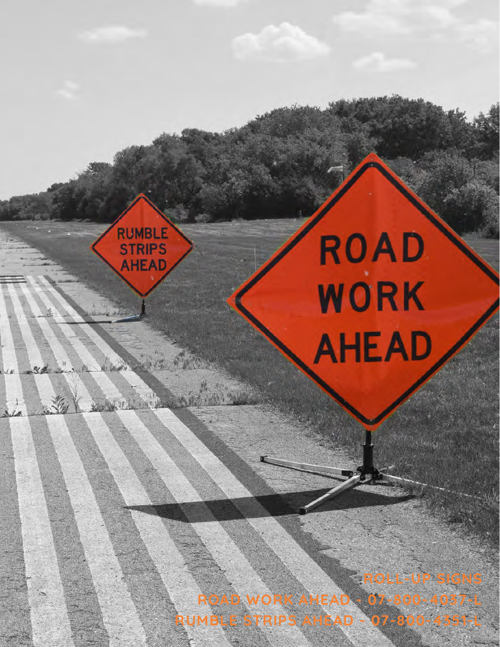

RUMBLE<br>STRIPS<br>AHEAD

U. Lead

Report Follows

仪式

Vi

**ROAD WORK AHEAD - 07-800-4037-L RUMBLE STRIPS AHEAD - 07-800-4351-L**

**ROLL-UP SIGNS**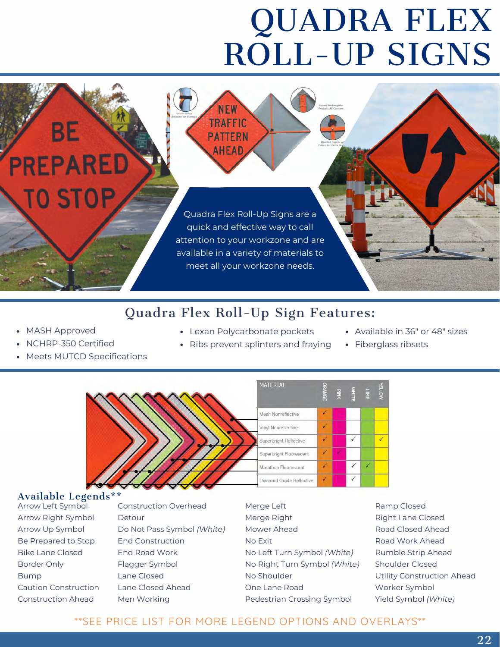# QUADRA FLEX ROLL-UP SIGNS

Quadra Flex Roll-Up Signs are a quick and effective way to call attention to your workzone and are available in a variety of materials to meet all your workzone needs.

**NEW TRAFFIC** 

**PATTERN AHEAD** 

## Quadra Flex Roll-Up Sign Features:

- MASH Approved
- NCHRP-350 Certified

ВE

**PREPARED** 

**TO STOP** 

- Meets MUTCD Specifications
- Lexan Polycarbonate pockets

• Ribs prevent splinters and fraying

- Available in 36" or 48" sizes
- Fiberglass ribsets



#### Available Legends\*\*

Arrow Left Symbol Arrow Right Symbol Arrow Up Symbol Be Prepared to Stop Bike Lane Closed Border Only Bump Caution Construction Construction Ahead

Construction Overhead Detour Do Not Pass Symbol *(White)* End Construction End Road Work Flagger Symbol Lane Closed Lane Closed Ahead Men Working

Merge Left Merge Right Mower Ahead No Exit No Left Turn Symbol *(White)* No Right Turn Symbol *(White)* No Shoulder One Lane Road Pedestrian Crossing Symbol

Ramp Closed Right Lane Closed Road Closed Ahead Road Work Ahead Rumble Strip Ahead Shoulder Closed Utility Construction Ahead Worker Symbol Yield Symbol *(White)*

### \*\*SEE PRICE LIST FOR MORE LEGEND OPTIONS AND OVERLAYS\*\*